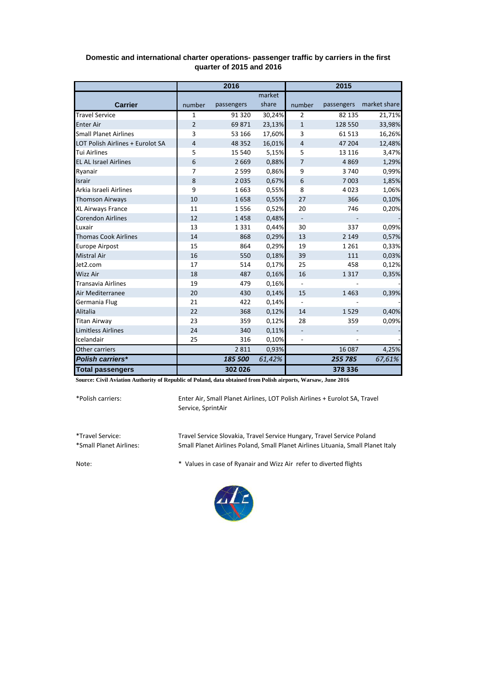|                                  | 2016           |            |        | 2015                     |            |              |
|----------------------------------|----------------|------------|--------|--------------------------|------------|--------------|
|                                  |                |            | market |                          |            |              |
| <b>Carrier</b>                   | number         | passengers | share  | number                   | passengers | market share |
| <b>Travel Service</b>            | 1              | 91 3 20    | 30,24% | $\overline{2}$           | 82 135     | 21,71%       |
| <b>Enter Air</b>                 | $\overline{2}$ | 69871      | 23,13% | $\mathbf{1}$             | 128 550    | 33,98%       |
| <b>Small Planet Airlines</b>     | 3              | 53 166     | 17,60% | 3                        | 61 513     | 16,26%       |
| LOT Polish Airlines + Eurolot SA | 4              | 48 3 52    | 16,01% | $\overline{4}$           | 47 204     | 12,48%       |
| <b>Tui Airlines</b>              | 5              | 15 540     | 5,15%  | 5                        | 13 116     | 3,47%        |
| <b>EL AL Israel Airlines</b>     | 6              | 2669       | 0,88%  | 7                        | 4 8 6 9    | 1,29%        |
| Ryanair                          | $\overline{7}$ | 2599       | 0,86%  | 9                        | 3740       | 0,99%        |
| <b>Israir</b>                    | 8              | 2035       | 0,67%  | 6                        | 7 0 03     | 1,85%        |
| Arkia Israeli Airlines           | 9              | 1663       | 0,55%  | 8                        | 4 0 2 3    | 1,06%        |
| <b>Thomson Airways</b>           | 10             | 1658       | 0,55%  | 27                       | 366        | 0,10%        |
| XL Airways France                | 11             | 1556       | 0,52%  | 20                       | 746        | 0,20%        |
| <b>Corendon Airlines</b>         | 12             | 1458       | 0,48%  |                          |            |              |
| Luxair                           | 13             | 1331       | 0,44%  | 30                       | 337        | 0,09%        |
| <b>Thomas Cook Airlines</b>      | 14             | 868        | 0,29%  | 13                       | 2 1 4 9    | 0,57%        |
| <b>Europe Airpost</b>            | 15             | 864        | 0,29%  | 19                       | 1 2 6 1    | 0,33%        |
| <b>Mistral Air</b>               | 16             | 550        | 0,18%  | 39                       | 111        | 0,03%        |
| Jet2.com                         | 17             | 514        | 0,17%  | 25                       | 458        | 0,12%        |
| <b>Wizz Air</b>                  | 18             | 487        | 0,16%  | 16                       | 1317       | 0,35%        |
| <b>Transavia Airlines</b>        | 19             | 479        | 0,16%  | $\blacksquare$           |            |              |
| Air Mediterranee                 | 20             | 430        | 0,14%  | 15                       | 1463       | 0,39%        |
| Germania Flug                    | 21             | 422        | 0,14%  | $\overline{\phantom{0}}$ |            |              |
| <b>Alitalia</b>                  | 22             | 368        | 0,12%  | 14                       | 1529       | 0,40%        |
| <b>Titan Airway</b>              | 23             | 359        | 0,12%  | 28                       | 359        | 0,09%        |
| <b>Limitless Airlines</b>        | 24             | 340        | 0,11%  | $\overline{\phantom{0}}$ |            |              |
| Icelandair                       | 25             | 316        | 0,10%  |                          |            |              |
| Other carriers                   |                | 2811       | 0,93%  |                          | 16 087     | 4,25%        |
| Polish carriers*                 |                | 185 500    | 61,42% |                          | 255 785    | 67,61%       |
| <b>Total passengers</b>          |                | 302 026    |        |                          | 378 336    |              |

## **Domestic and international charter operations- passenger traffic by carriers in the first quarter of 2015 and 2016**

**Source: Civil Aviation Authority of Republic of Poland, data obtained from Polish airports, Warsaw, June 2016**

\*Polish carriers:

Enter Air, Small Planet Airlines, LOT Polish Airlines + Eurolot SA, Travel Service, SprintAir

\*Travel Service: Travel Service Slovakia, Travel Service Hungary, Travel Service Poland Small Planet Airlines Poland, Small Planet Airlines Lituania, Small Planet Italy

Note: \* Values in case of Ryanair and Wizz Air refer to diverted flights